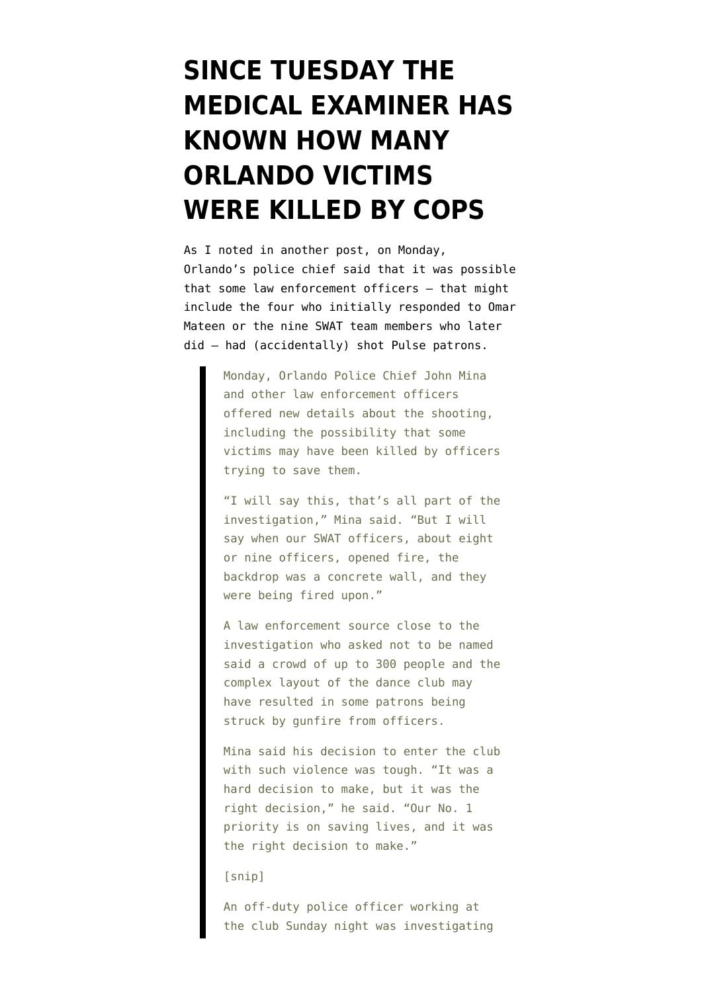## **[SINCE TUESDAY THE](https://www.emptywheel.net/2016/06/18/the-medical-examiner-has-known-how-many-orlando-victims-were-killed-by-cops-since-tuesday/) [MEDICAL EXAMINER HAS](https://www.emptywheel.net/2016/06/18/the-medical-examiner-has-known-how-many-orlando-victims-were-killed-by-cops-since-tuesday/) [KNOWN HOW MANY](https://www.emptywheel.net/2016/06/18/the-medical-examiner-has-known-how-many-orlando-victims-were-killed-by-cops-since-tuesday/) [ORLANDO VICTIMS](https://www.emptywheel.net/2016/06/18/the-medical-examiner-has-known-how-many-orlando-victims-were-killed-by-cops-since-tuesday/) [WERE KILLED BY COPS](https://www.emptywheel.net/2016/06/18/the-medical-examiner-has-known-how-many-orlando-victims-were-killed-by-cops-since-tuesday/)**

As I noted in another post, on Monday, Orlando's police chief [said](http://www.wfaa.com/news/nation-now/officers-may-have-shot-orlando-club-patrons/243700448) that it was possible that some law enforcement officers — that might include the four who initially responded to Omar Mateen or the nine SWAT team members who later did — had (accidentally) shot Pulse patrons.

> Monday, Orlando Police Chief John Mina and other law enforcement officers offered new details about the shooting, including the possibility that some victims may have been killed by officers trying to save them.

> "I will say this, that's all part of the investigation," Mina said. "But I will say when our SWAT officers, about eight or nine officers, opened fire, the backdrop was a concrete wall, and they were being fired upon."

> A law enforcement source close to the investigation who asked not to be named said a crowd of up to 300 people and the complex layout of the dance club may have resulted in some patrons being struck by gunfire from officers.

> Mina said his decision to enter the club with such violence was tough. "It was a hard decision to make, but it was the right decision," he said. "Our No. 1 priority is on saving lives, and it was the right decision to make."

## [snip]

An off-duty police officer working at the club Sunday night was investigating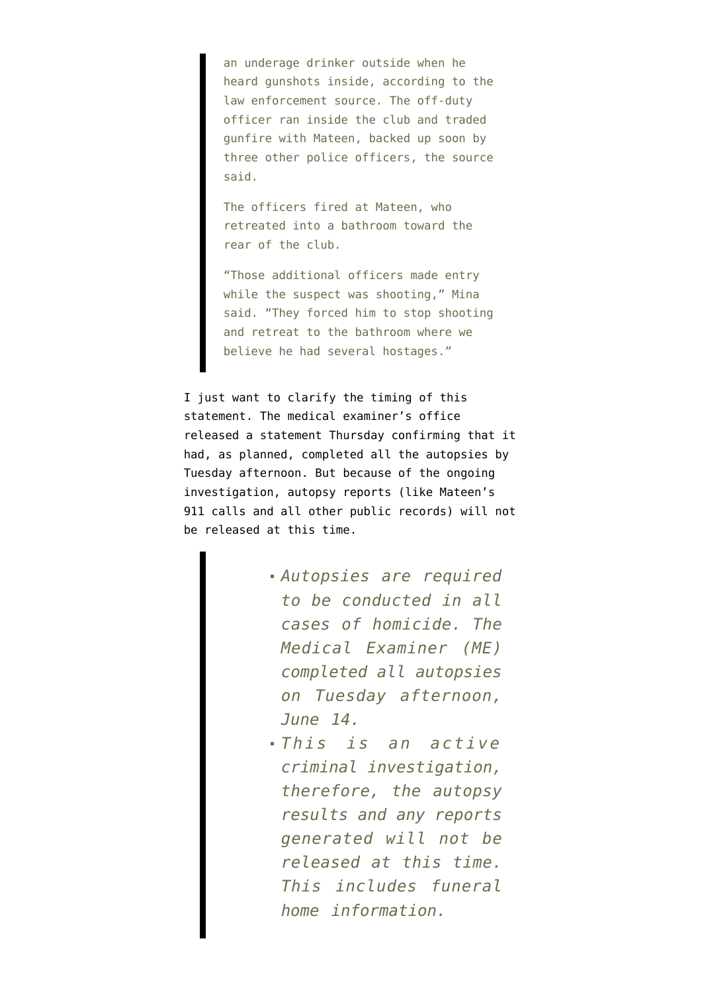an underage drinker outside when he heard gunshots inside, according to the law enforcement source. The off-duty officer ran inside the club and traded gunfire with Mateen, backed up soon by three other police officers, the source said.

The officers fired at Mateen, who retreated into a bathroom toward the rear of the club.

"Those additional officers made entry while the suspect was shooting," Mina said. "They forced him to stop shooting and retreat to the bathroom where we believe he had several hostages."

I just want to clarify the timing of this statement. The medical examiner's office released a [statement](http://www.orangecountyfl.net/Newsroom/MediaAdvisory6-16-2016.aspx#.V2MI3NNViko) Thursday confirming that it had, as planned, completed all the autopsies by Tuesday afternoon. But because of the ongoing investigation, autopsy reports (like Mateen's 911 calls and all other public records) will not be released at this time.

- *Autopsies are required to be conducted in all cases of homicide. The Medical Examiner (ME) completed all autopsies on Tuesday afternoon, June 14.*
- *This is an active criminal investigation, therefore, the autopsy results and any reports generated will not be released at this time. This includes funeral home information.*